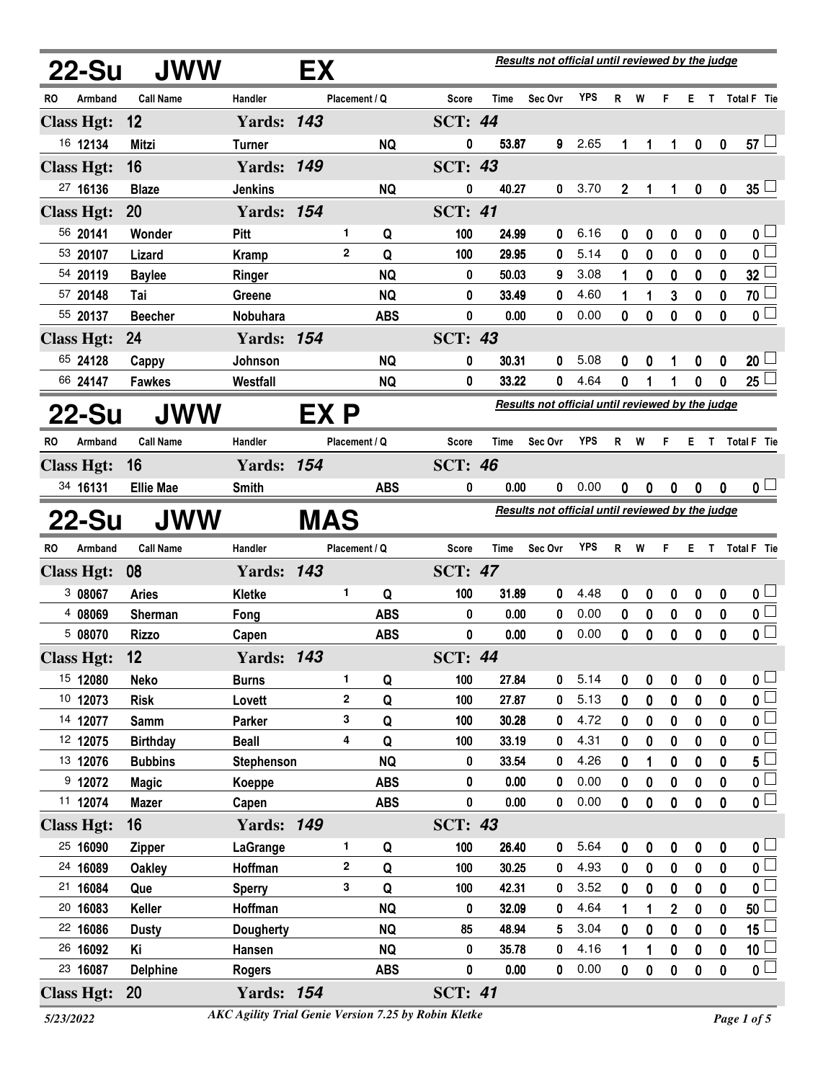| 22-Su             |         | <b>JWW</b>       |                   | EX         |               |            |                |       | Results not official until reviewed by the judge |            |             |          |                |                  |                  |                         |
|-------------------|---------|------------------|-------------------|------------|---------------|------------|----------------|-------|--------------------------------------------------|------------|-------------|----------|----------------|------------------|------------------|-------------------------|
| RO                | Armband | <b>Call Name</b> | Handler           |            | Placement / Q |            | Score          | Time  | Sec Ovr                                          | <b>YPS</b> | R           | W        | F              | E.               | T.               | Total F Tie             |
| <b>Class Hgt:</b> |         | 12               | <b>Yards: 143</b> |            |               |            | <b>SCT: 44</b> |       |                                                  |            |             |          |                |                  |                  |                         |
| 16 12134          |         | Mitzi            | <b>Turner</b>     |            |               | <b>NQ</b>  | 0              | 53.87 | 9                                                | 2.65       | 1           | 1        | 1              | 0                | $\boldsymbol{0}$ | $57 \perp$              |
| <b>Class Hgt:</b> |         | 16               | <b>Yards: 149</b> |            |               |            | <b>SCT: 43</b> |       |                                                  |            |             |          |                |                  |                  |                         |
| 27 16136          |         | <b>Blaze</b>     | <b>Jenkins</b>    |            |               | <b>NQ</b>  | 0              | 40.27 | 0                                                | 3.70       | $\mathbf 2$ | 1        | 1              | 0                | $\boldsymbol{0}$ | $35\Box$                |
| <b>Class Hgt:</b> |         | 20               | <b>Yards: 154</b> |            |               |            | <b>SCT: 41</b> |       |                                                  |            |             |          |                |                  |                  |                         |
| 56 20141          |         | Wonder           | Pitt              |            | 1             | Q          | 100            | 24.99 | 0                                                | 6.16       | 0           | 0        | 0              | 0                | 0                | 0 <sup>1</sup>          |
| 53 20107          |         | Lizard           | <b>Kramp</b>      |            | $\mathbf{2}$  | Q          | 100            | 29.95 | 0                                                | 5.14       | 0           | 0        | 0              | 0                | 0                | $\overline{\mathbf{0}}$ |
| 54 20119          |         | <b>Baylee</b>    | Ringer            |            |               | <b>NQ</b>  | 0              | 50.03 | 9                                                | 3.08       | 1           | 0        | 0              | 0                | $\mathbf 0$      | 32 <sup>1</sup>         |
| 57 20148          |         | Tai              | <b>Greene</b>     |            |               | <b>NQ</b>  | 0              | 33.49 | 0                                                | 4.60       | 1           |          | 3              | 0                | 0                | 70 l                    |
| 55 20137          |         | <b>Beecher</b>   | Nobuhara          |            |               | <b>ABS</b> | 0              | 0.00  | 0                                                | 0.00       | 0           | 0        | 0              | 0                | $\mathbf{0}$     | $\overline{\mathbf{0}}$ |
| <b>Class Hgt:</b> |         | 24               | <b>Yards: 154</b> |            |               |            | <b>SCT: 43</b> |       |                                                  |            |             |          |                |                  |                  |                         |
| 65 24128          |         | Cappy            | Johnson           |            |               | <b>NQ</b>  | 0              | 30.31 | 0                                                | 5.08       | 0           | 0        | 1              | 0                | 0                | $20\perp$               |
| 66 24147          |         | <b>Fawkes</b>    | Westfall          |            |               | <b>NQ</b>  | 0              | 33.22 | 0                                                | 4.64       | 0           |          | 1              | $\mathbf{0}$     | $\mathbf 0$      | 25 <sup>1</sup>         |
| 22-Su             |         | <b>JWW</b>       |                   | EX P       |               |            |                |       | Results not official until reviewed by the judge |            |             |          |                |                  |                  |                         |
| RO                | Armband | <b>Call Name</b> | Handler           |            | Placement / Q |            | Score          | Time  | Sec Ovr                                          | <b>YPS</b> | R           | W        | F.             | Е.               | $\mathbf{T}$     | Total F Tie             |
| <b>Class Hgt:</b> |         | 16               | <b>Yards: 154</b> |            |               |            | <b>SCT: 46</b> |       |                                                  |            |             |          |                |                  |                  |                         |
| 34 16131          |         | <b>Ellie Mae</b> | <b>Smith</b>      |            |               | <b>ABS</b> | 0              | 0.00  | 0                                                | 0.00       | 0           | 0        | 0              | $\boldsymbol{0}$ | 0                | 0 <sub>1</sub>          |
| 22-Su             |         | <b>JWW</b>       |                   | <b>MAS</b> |               |            |                |       | Results not official until reviewed by the judge |            |             |          |                |                  |                  |                         |
| RO                | Armband | <b>Call Name</b> | Handler           |            | Placement / Q |            | Score          | Time  | Sec Ovr                                          | YPS        | R           | W        | F.             | Е.               |                  | T Total F Tie           |
| <b>Class Hgt:</b> |         | 08               | <b>Yards: 143</b> |            |               |            | <b>SCT: 47</b> |       |                                                  |            |             |          |                |                  |                  |                         |
| 3 08067           |         | <b>Aries</b>     | Kletke            |            | 1             | Q          | 100            | 31.89 | 0                                                | 4.48       | 0           | 0        | 0              | 0                | 0                | $\mathbf{0}$ $\Box$     |
| 4 08069           |         | <b>Sherman</b>   | Fong              |            |               | <b>ABS</b> | 0              | 0.00  | 0                                                | 0.00       | 0           | 0        | 0              | $\pmb{0}$        | $\mathbf 0$      | $\overline{\mathbf{0}}$ |
| 5 08070           |         | <b>Rizzo</b>     | Capen             |            |               | <b>ABS</b> | 0              | 0.00  | 0                                                | 0.00       | 0           | 0        | $\mathbf 0$    | 0                | $\mathbf 0$      | $\overline{\mathbf{0}}$ |
| <b>Class Hgt:</b> |         | 12               | <b>Yards: 143</b> |            |               |            | <b>SCT: 44</b> |       |                                                  |            |             |          |                |                  |                  |                         |
| 15 12080          |         | <b>Neko</b>      | <b>Burns</b>      |            | 1.            | Q          | 100            | 27.84 | 0                                                | 5.14       | 0           | 0        | 0              | 0                | 0                | $\mathfrak{o} \sqcup$   |
| 10 12073          |         | <b>Risk</b>      | Lovett            |            | 2             | Q          | 100            | 27.87 | 0                                                | 5.13       | 0           | 0        | 0              | 0                | $\mathbf{0}$     | $\overline{\mathbf{0}}$ |
| 14 12077          |         | <b>Samm</b>      | Parker            |            | 3             | Q          | 100            | 30.28 | 0                                                | 4.72       | 0           | 0        | 0              | 0                | 0                | $\overline{\mathbf{0}}$ |
| 12 12075          |         | <b>Birthday</b>  | <b>Beall</b>      |            | 4             | Q          | 100            | 33.19 | 0                                                | 4.31       | 0           | 0        | 0              | 0                | $\mathbf 0$      | 0 L                     |
| 13 12076          |         | <b>Bubbins</b>   | <b>Stephenson</b> |            |               | <b>NQ</b>  | 0              | 33.54 | 0                                                | 4.26       | 0           |          | 0              | 0                | 0                | $5^{\square}$           |
| 9 12072           |         | <b>Magic</b>     | Koeppe            |            |               | <b>ABS</b> | 0              | 0.00  | 0                                                | 0.00       | 0           | 0        | 0              | 0                | 0                | 0 L                     |
| 11 12074          |         | <b>Mazer</b>     | Capen             |            |               | <b>ABS</b> | $\mathbf 0$    | 0.00  | 0                                                | 0.00       | 0           | 0        | 0              | 0                | $\mathbf{0}$     | $\overline{\mathbf{0}}$ |
| <b>Class Hgt:</b> |         | 16               | <b>Yards: 149</b> |            |               |            | <b>SCT: 43</b> |       |                                                  |            |             |          |                |                  |                  |                         |
| 25 16090          |         | <b>Zipper</b>    | LaGrange          |            | 1             | Q          | 100            | 26.40 | 0                                                | 5.64       | 0           | 0        | 0              | $\boldsymbol{0}$ | $\boldsymbol{0}$ | $\mathbf{0}$ $\Box$     |
| 24 16089          |         | <b>Oakley</b>    | Hoffman           |            | 2             | Q          | 100            | 30.25 | 0                                                | 4.93       | 0           | $\bf{0}$ | 0              | $\bf{0}$         | $\bf{0}$         | $\overline{\mathbf{0}}$ |
| 21 16084          |         | Que              | <b>Sperry</b>     |            | 3             | Q          | 100            | 42.31 | 0                                                | 3.52       | $\mathbf 0$ | $\bf{0}$ | 0              | 0                | $\mathbf 0$      | 0 L                     |
| 20 16083          |         | Keller           | Hoffman           |            |               | <b>NQ</b>  | 0              | 32.09 | 0                                                | 4.64       | 1           | 1        | $\overline{2}$ | 0                | 0                | 50 <sup>1</sup>         |
| 22 16086          |         | <b>Dusty</b>     | <b>Dougherty</b>  |            |               | <b>NQ</b>  | 85             | 48.94 | 5                                                | 3.04       | 0           | $\bf{0}$ | 0              | 0                | $\bf{0}$         | 15 <sup>1</sup>         |
| 26 16092          |         | Κi               | Hansen            |            |               | <b>NQ</b>  | 0              | 35.78 | 0                                                | 4.16       | 1           | 1        | 0              | 0                | $\mathbf 0$      | 10 <sup>1</sup>         |
| 23 16087          |         | <b>Delphine</b>  | <b>Rogers</b>     |            |               | <b>ABS</b> | 0              | 0.00  | 0                                                | 0.00       | 0           | 0        | 0              | 0                | $\pmb{0}$        | $\overline{\mathbf{0}}$ |
| <b>Class Hgt:</b> |         | 20               | <b>Yards: 154</b> |            |               |            | <b>SCT: 41</b> |       |                                                  |            |             |          |                |                  |                  |                         |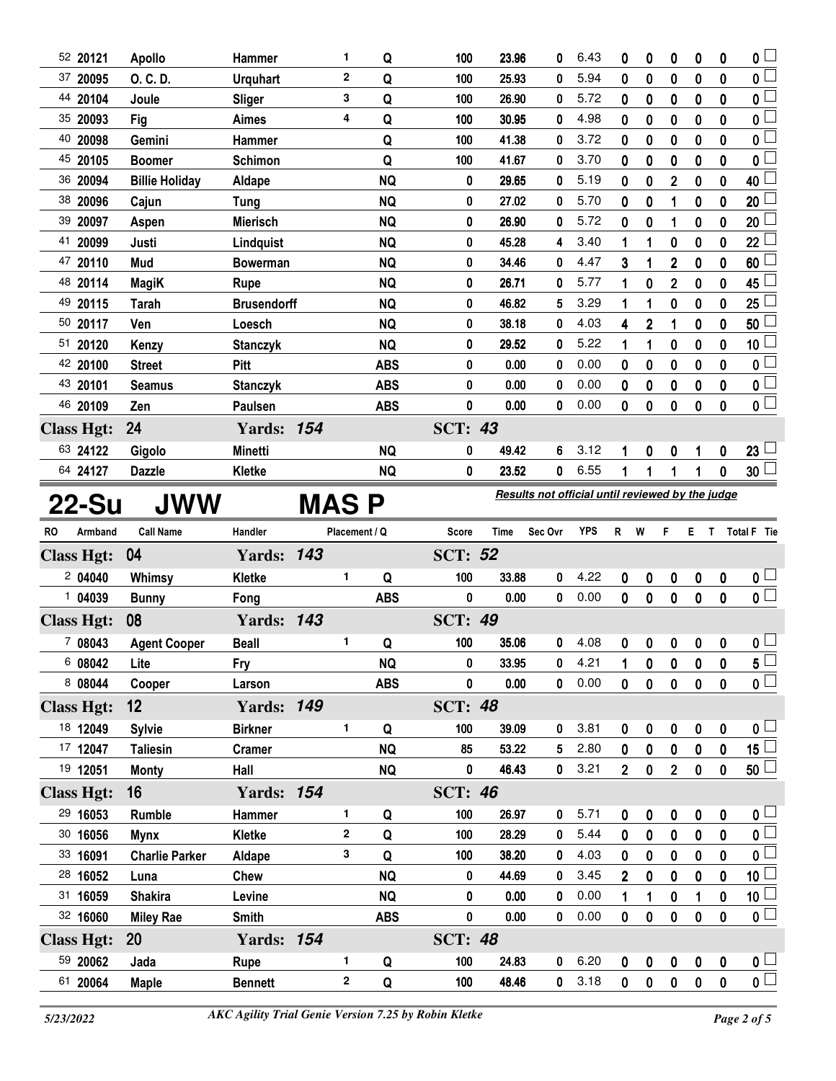| 52 20121                     | <b>Apollo</b>         | <b>Hammer</b>      |             | 1             | Q          | 100            | 23.96 | 0                                                | 6.43       | 0              | 0              | 0                | 0                | 0                | 0 <sub>0</sub>                                     |
|------------------------------|-----------------------|--------------------|-------------|---------------|------------|----------------|-------|--------------------------------------------------|------------|----------------|----------------|------------------|------------------|------------------|----------------------------------------------------|
| 37 20095                     | O. C. D.              | <b>Urguhart</b>    |             | $\mathbf{2}$  | Q          | 100            | 25.93 | 0                                                | 5.94       | 0              | $\bf{0}$       | 0                | 0                | 0                | $\overline{\mathbf{0}}$                            |
| 44 20104                     | Joule                 | Sliger             |             | 3             | Q          | 100            | 26.90 | 0                                                | 5.72       | 0              | 0              | 0                | 0                | 0                | $\overline{0}$                                     |
| 35 20093                     | Fig                   | Aimes              |             | 4             | Q          | 100            | 30.95 | 0                                                | 4.98       | 0              | 0              | 0                | 0                | 0                | $\mathbf{0}$                                       |
| 40 20098                     | Gemini                | <b>Hammer</b>      |             |               | Q          | 100            | 41.38 | 0                                                | 3.72       | 0              | 0              | 0                | 0                | 0                | $\mathbf 0$                                        |
| 45 20105                     | <b>Boomer</b>         | <b>Schimon</b>     |             |               | Q          | 100            | 41.67 | 0                                                | 3.70       | 0              | 0              | 0                | 0                | 0                | 0                                                  |
| 36 20094                     | <b>Billie Holiday</b> | Aldape             |             |               | <b>NQ</b>  | 0              | 29.65 | 0                                                | 5.19       | 0              | 0              | $\overline{2}$   | 0                | 0                | 40                                                 |
| 38 20096                     | Cajun                 | <b>Tung</b>        |             |               | <b>NQ</b>  | 0              | 27.02 | 0                                                | 5.70       | 0              | 0              | 1                | 0                | 0                | 20                                                 |
| 39 20097                     | Aspen                 | <b>Mierisch</b>    |             |               | <b>NQ</b>  | 0              | 26.90 | 0                                                | 5.72       | 0              | 0              | 1                | 0                | 0                | 20                                                 |
| 41<br>20099                  | Justi                 | Lindquist          |             |               | <b>NQ</b>  | 0              | 45.28 | 4                                                | 3.40       | 1              | 1              | 0                | 0                | 0                | 22                                                 |
| 47 20110                     | Mud                   | <b>Bowerman</b>    |             |               | <b>NQ</b>  | 0              | 34.46 | 0                                                | 4.47       | 3              | 1              | 2                | 0                | 0                | 60                                                 |
| 48 20114                     | <b>MagiK</b>          | Rupe               |             |               | <b>NQ</b>  | 0              | 26.71 | 0                                                | 5.77       | 1              | 0              | 2                | $\boldsymbol{0}$ | 0                | 45                                                 |
| 49 20115                     | <b>Tarah</b>          | <b>Brusendorff</b> |             |               | <b>NQ</b>  | 0              | 46.82 | 5                                                | 3.29       | 1              | 1              | 0                | 0                | 0                | 25                                                 |
| 50 20117                     | Ven                   | Loesch             |             |               | <b>NQ</b>  | 0              | 38.18 | 0                                                | 4.03       | 4              | $\overline{2}$ | 1                | 0                | 0                | 50                                                 |
| 51 20120                     | Kenzy                 | <b>Stanczyk</b>    |             |               | <b>NQ</b>  | 0              | 29.52 | 0                                                | 5.22       | 1              | 1              | 0                | 0                | 0                | 10 <sub>1</sub>                                    |
| 42 20100                     | <b>Street</b>         | Pitt               |             |               | <b>ABS</b> | 0              | 0.00  | 0                                                | 0.00       | 0              | 0              | 0                | $\mathbf 0$      | 0                | $\mathbf 0$                                        |
| 43 20101                     | <b>Seamus</b>         | <b>Stanczyk</b>    |             |               | <b>ABS</b> | 0              | 0.00  | 0                                                | 0.00       | 0              | 0              | 0                | 0                | 0                | $\overline{\mathbf{0}}$                            |
| 46 20109                     | Zen                   | Paulsen            |             |               | <b>ABS</b> | 0              | 0.00  | 0                                                | 0.00       | 0              | 0              | 0                | 0                | 0                | $\overline{0}$                                     |
| <b>Class Hgt:</b>            | 24                    | <b>Yards: 154</b>  |             |               |            | <b>SCT: 43</b> |       |                                                  |            |                |                |                  |                  |                  |                                                    |
| 63 24122                     | Gigolo                | <b>Minetti</b>     |             |               | <b>NQ</b>  | 0              | 49.42 | 6                                                | 3.12       | 1              | 0              | 0                | 1                | 0                | $23\lfloor$                                        |
| 64 24127                     | <b>Dazzle</b>         | Kletke             |             |               | <b>NQ</b>  | 0              | 23.52 | 0                                                | 6.55       | 1              | 1              | 1                |                  | 0                | $30\lceil$                                         |
| 22-Su                        | <b>JWW</b>            |                    | <b>MASP</b> |               |            |                |       | Results not official until reviewed by the judge |            |                |                |                  |                  |                  |                                                    |
|                              |                       |                    |             |               |            |                |       |                                                  |            |                |                |                  |                  |                  |                                                    |
| Armband<br>RO                | <b>Call Name</b>      | Handler            |             | Placement / Q |            | Score          | Time  | Sec Ovr                                          | <b>YPS</b> | R              | W              | F                |                  |                  | E T Total F Tie                                    |
| <b>Class Hgt:</b>            | 04                    | <b>Yards: 143</b>  |             |               |            | <b>SCT: 52</b> |       |                                                  |            |                |                |                  |                  |                  |                                                    |
| 204040                       | Whimsy                | Kletke             |             | 1             | Q          | 100            | 33.88 | 0                                                | 4.22       | 0              | 0              | $\bf{0}$         | 0                | 0                | 0 <sub>1</sub>                                     |
| 1 04039                      | <b>Bunny</b>          | Fong               |             |               | <b>ABS</b> | 0              | 0.00  | 0                                                | 0.00       | 0              | 0              | 0                | $\mathbf 0$      | 0                | $\overline{\mathbf{0}}$                            |
|                              | 08                    | <b>Yards: 143</b>  |             |               |            | <b>SCT: 49</b> |       |                                                  |            |                |                |                  |                  |                  |                                                    |
| <b>Class Hgt:</b><br>7 08043 | <b>Agent Cooper</b>   | <b>Beall</b>       |             | 1             | Q          | 100            | 35.06 | 0                                                | 4.08       | 0              | 0              | $\pmb{0}$        | $\pmb{0}$        | $\pmb{0}$        | 0 <sub>1</sub>                                     |
| 6 08042                      | Lite                  | Fry                |             |               | <b>NQ</b>  | 0              | 33.95 | 0                                                | 4.21       |                | 0              |                  |                  |                  |                                                    |
| 8 08044                      | Cooper                | Larson             |             |               | <b>ABS</b> | 0              | 0.00  | $\mathbf 0$                                      | 0.00       | 0              | 0              | 0<br>$\mathbf 0$ | 0<br>$\mathbf 0$ | 0<br>$\mathbf 0$ | $\overline{5}$<br>$\overline{\mathbf{0}}$          |
| <b>Class Hgt:</b>            | $12 \,$               | <b>Yards: 149</b>  |             |               |            | <b>SCT: 48</b> |       |                                                  |            |                |                |                  |                  |                  |                                                    |
| 18 12049                     | <b>Sylvie</b>         | <b>Birkner</b>     |             | 1             | Q          | 100            | 39.09 | 0                                                | 3.81       | 0              | 0              | 0                | 0                | 0                | 0 <sub>1</sub>                                     |
| 17 12047                     | <b>Taliesin</b>       | <b>Cramer</b>      |             |               | <b>NQ</b>  | 85             | 53.22 | 5                                                | 2.80       | $\mathbf{0}$   | $\mathbf 0$    | $\mathbf 0$      | $\mathbf 0$      | $\mathbf 0$      | 15 $\lfloor$                                       |
| 19 12051                     | <b>Monty</b>          | Hall               |             |               | <b>NQ</b>  | 0              | 46.43 | 0                                                | 3.21       | $\overline{2}$ | 0              | $\overline{2}$   | $\pmb{0}$        | $\mathbf 0$      |                                                    |
| <b>Class Hgt:</b>            | 16                    | <b>Yards: 154</b>  |             |               |            | <b>SCT: 46</b> |       |                                                  |            |                |                |                  |                  |                  | $\overline{50}$                                    |
| 29 16053                     | Rumble                | Hammer             |             | 1             | Q          | 100            | 26.97 | 0                                                | 5.71       | 0              | 0              | 0                | 0                | 0                | 0 <sub>1</sub>                                     |
| 30 16056                     | <b>Mynx</b>           | Kletke             |             | 2             | Q          | 100            | 28.29 | 0                                                | 5.44       | 0              | 0              | 0                | 0                | 0                |                                                    |
| 33 16091                     | <b>Charlie Parker</b> | Aldape             |             | 3             | Q          | 100            | 38.20 | 0                                                | 4.03       | 0              | $\mathbf 0$    | $\mathbf{0}$     | $\bf{0}$         | $\mathbf 0$      | $\overline{\mathbf{0}}$<br>$\overline{\mathbf{0}}$ |
| 28 16052                     | Luna                  | Chew               |             |               | <b>NQ</b>  | 0              | 44.69 | 0                                                | 3.45       | 2              | 0              | 0                | 0                | 0                |                                                    |
| 31 16059                     | <b>Shakira</b>        | Levine             |             |               | <b>NQ</b>  | 0              | 0.00  | 0                                                | 0.00       | 1              | 1              | $\mathbf 0$      | 1                | 0                | $\overline{10}$<br>10 $\Box$                       |
| 32 16060                     | <b>Miley Rae</b>      | Smith              |             |               | <b>ABS</b> | $\pmb{0}$      | 0.00  | 0                                                | 0.00       | 0              | 0              | $\mathbf 0$      | $\bf{0}$         | 0                | $\overline{\mathbf{0}}$                            |
| <b>Class Hgt:</b>            | <b>20</b>             | <b>Yards: 154</b>  |             |               |            | <b>SCT: 48</b> |       |                                                  |            |                |                |                  |                  |                  |                                                    |
| 59 20062                     | Jada                  | Rupe               |             | 1             | Q          | 100            | 24.83 | 0                                                | 6.20       | 0              | 0              | 0                | $\pmb{0}$        | 0                | 0 <sub>1</sub><br>$\overline{\mathbf{0}}$          |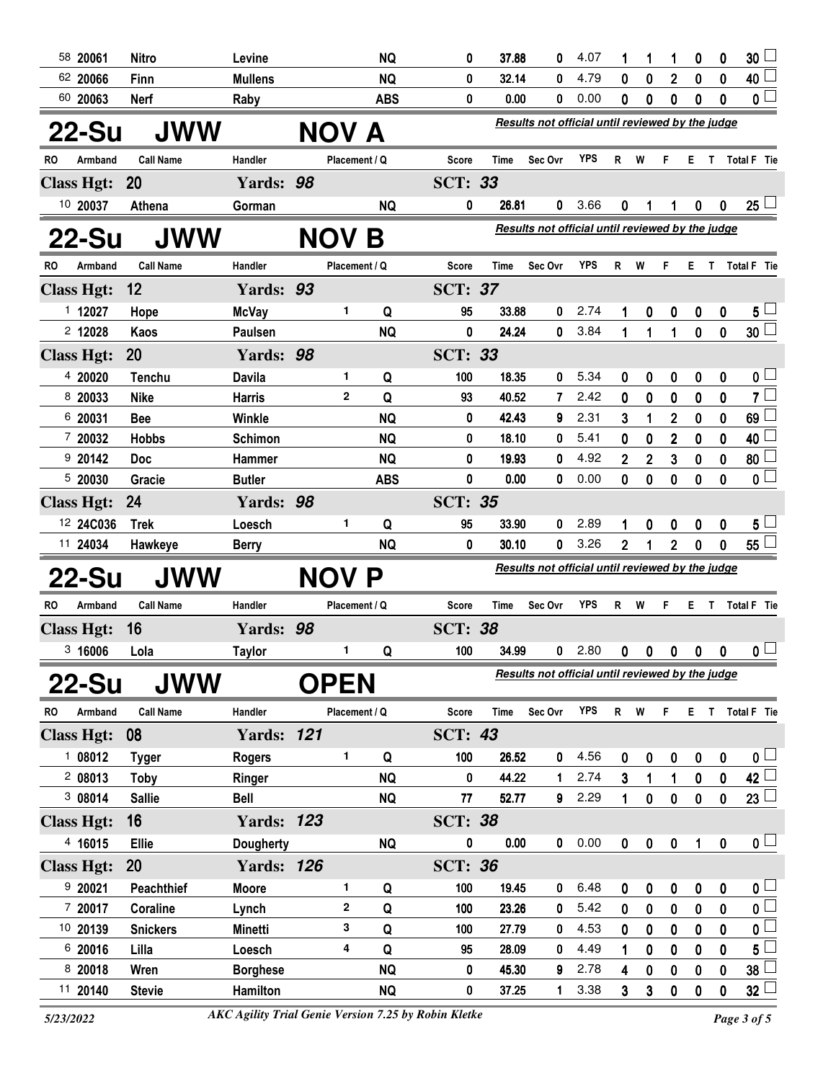|           | 58 20061            | <b>Nitro</b>      | Levine            |               | <b>NQ</b>  | 0              | 37.88          | 0                                                | 4.07         | 1                | 1           | 1                       | 0            | 0                | 30                            |
|-----------|---------------------|-------------------|-------------------|---------------|------------|----------------|----------------|--------------------------------------------------|--------------|------------------|-------------|-------------------------|--------------|------------------|-------------------------------|
|           | 62 20066            | Finn              | <b>Mullens</b>    |               | <b>NQ</b>  | 0              | 32.14          | 0                                                | 4.79         | 0                | $\bf{0}$    | $\overline{2}$          | 0            | $\boldsymbol{0}$ | 40 <sup>1</sup>               |
|           | 60 20063            | <b>Nerf</b>       | Raby              |               | <b>ABS</b> | 0              | 0.00           | 0                                                | 0.00         | 0                | 0           | 0                       | 0            | $\bf{0}$         | 0 <sup>1</sup>                |
|           | 22-Su               | <b>JWW</b>        |                   | NOV A         |            |                |                | Results not official until reviewed by the judge |              |                  |             |                         |              |                  |                               |
| RO.       | Armband             | <b>Call Name</b>  | Handler           | Placement / Q |            | <b>Score</b>   | Time           | Sec Ovr                                          | <b>YPS</b>   | R W              |             | F.                      |              |                  | E T Total F Tie               |
|           | <b>Class Hgt:</b>   | <b>20</b>         | Yards: 98         |               |            | <b>SCT: 33</b> |                |                                                  |              |                  |             |                         |              |                  |                               |
|           | 10 20037            | Athena            | Gorman            |               | <b>NQ</b>  | 0              | 26.81          | 0                                                | 3.66         | 0                |             | 1                       | 0            | 0                | $25 -$                        |
|           | 22-Su               | JWW               |                   | <b>NOV</b>    | Β          |                |                | Results not official until reviewed by the judge |              |                  |             |                         |              |                  |                               |
| <b>RO</b> | Armband             | <b>Call Name</b>  | Handler           | Placement / Q |            | <b>Score</b>   | Time           | Sec Ovr                                          | <b>YPS</b>   | R.               | W           | F.                      | E.           | T.               | <b>Total F</b> Tie            |
|           | <b>Class Hgt:</b>   | 12                | Yards: 93         |               |            | <b>SCT: 37</b> |                |                                                  |              |                  |             |                         |              |                  |                               |
|           | 1 12027             | Hope              | <b>McVay</b>      | 1             | Q          | 95             | 33.88          | 0                                                | 2.74         | 1                | 0           | 0                       | 0            | 0                | $5 -$                         |
|           | 2 12028             | Kaos              | Paulsen           |               | <b>NQ</b>  | 0              | 24.24          | 0                                                | 3.84         | 1                | 1           | 1                       | $\mathbf 0$  | $\mathbf 0$      | 30 <sup>1</sup>               |
|           | <b>Class Hgt:</b>   | 20                | Yards: 98         |               |            | <b>SCT: 33</b> |                |                                                  |              |                  |             |                         |              |                  |                               |
|           | 4 20020             | <b>Tenchu</b>     | <b>Davila</b>     | 1             | Q          | 100            | 18.35          | 0                                                | 5.34         | 0                | 0           | 0                       | 0            | 0                | 0 <sub>1</sub>                |
|           | 8 20033             | <b>Nike</b>       | <b>Harris</b>     | $\mathbf{2}$  | Q          | 93             | 40.52          | 7                                                | 2.42         | 0                | 0           | 0                       | 0            | 0                | $7^{\square}$                 |
|           | 6 20031             | <b>Bee</b>        | <b>Winkle</b>     |               | <b>NQ</b>  | 0              | 42.43          | 9                                                | 2.31         | 3                | 1           | 2                       | 0            | 0                | 69 <sup>1</sup>               |
|           | 7 20032             | <b>Hobbs</b>      | <b>Schimon</b>    |               | <b>NQ</b>  | 0              | 18.10          | 0                                                | 5.41         | 0                | 0           | $\overline{\mathbf{c}}$ | 0            | 0                | 40                            |
|           | 920142              | Doc               | Hammer            |               | <b>NQ</b>  | 0              | 19.93          | 0                                                | 4.92         | $\overline{2}$   | 2           | 3                       | 0            | 0                | 80 <sup>1</sup>               |
|           | 520030              | Gracie            | <b>Butler</b>     |               | <b>ABS</b> | 0              | 0.00           | 0                                                | 0.00         | 0                | 0           | 0                       | 0            | 0                | $\overline{\mathfrak{o}}$     |
|           | <b>Class Hgt:</b>   | 24                | Yards: 98         |               |            | <b>SCT: 35</b> |                |                                                  |              |                  |             |                         |              |                  |                               |
|           | 12 24C036           | <b>Trek</b>       | Loesch            | 1             | Q          | 95             | 33.90          | 0                                                | 2.89         | 1                | 0           | 0                       | 0            | 0                | 5 <sub>1</sub>                |
|           | 11 24034            | Hawkeye           | <b>Berry</b>      |               | <b>NQ</b>  | 0              | 30.10          | 0                                                | 3.26         | $\overline{2}$   | 1           | $\overline{2}$          | 0            | 0                | $55^{\frac{1}{2}}$            |
|           | 22-Su               | JWW               |                   | <b>NOV</b>    | P          |                |                | Results not official until reviewed by the judge |              |                  |             |                         |              |                  |                               |
|           |                     |                   |                   |               |            |                |                |                                                  |              |                  |             |                         |              |                  |                               |
| RO.       | Armband             | <b>Call Name</b>  | Handler           | Placement / Q |            | Score          | Time           | Sec Ovr                                          | <b>YPS</b>   | R                | W           | F.                      | Е.           | T.               | Total F Tie                   |
|           | <b>Class Hgt:</b>   | 16                | Yards: 98         |               |            | <b>SCT: 38</b> |                |                                                  |              |                  |             |                         |              |                  |                               |
|           | 3 16006             | Lola              | <b>Taylor</b>     | 1             | Q          | 100            | 34.99          | 0                                                | 2.80         | 0                | 0           | 0                       | 0            | 0                | $\mathbf{0}$ $\Box$           |
|           | <b>22-Su</b>        | <b>JWW</b>        |                   | <b>OPEN</b>   |            |                |                | Results not official until reviewed by the judge |              |                  |             |                         |              |                  |                               |
| <b>RO</b> | Armband             | <b>Call Name</b>  | Handler           | Placement / Q |            | <b>Score</b>   | Time           | Sec Ovr                                          | <b>YPS</b>   | R W              |             | F.                      |              |                  | E T Total F Tie               |
|           | <b>Class Hgt:</b>   | 08                | <b>Yards: 121</b> |               |            | <b>SCT: 43</b> |                |                                                  |              |                  |             |                         |              |                  |                               |
|           | 108012              | <b>Tyger</b>      | <b>Rogers</b>     | 1             | Q          | 100            | 26.52          | 0                                                | 4.56         | 0                | 0           | 0                       | 0            | $\mathbf 0$      | $\mathbf{0}$ $\Box$           |
|           | 208013              | Toby              | Ringer            |               | <b>NQ</b>  | 0              | 44.22          | 1                                                | 2.74         | 3                | 1           | 1                       | 0            | 0                | $\overline{42}$               |
|           | 308014              | <b>Sallie</b>     | <b>Bell</b>       |               | <b>NQ</b>  | 77             | 52.77          | 9                                                | 2.29         | $\mathbf{1}$     | $\mathbf 0$ | $\pmb{0}$               | $\pmb{0}$    | $\mathbf 0$      | 23                            |
|           | <b>Class Hgt:</b>   | 16                | <b>Yards: 123</b> |               |            | <b>SCT: 38</b> |                |                                                  |              |                  |             |                         |              |                  |                               |
|           | 4 16015             | Ellie             | Dougherty         |               | <b>NQ</b>  | 0              | 0.00           | 0                                                | 0.00         | $\boldsymbol{0}$ | $\pmb{0}$   | $\pmb{0}$               | $\mathbf{1}$ | $\boldsymbol{0}$ | $\mathbf{0}$ $\Box$           |
|           | <b>Class Hgt:</b>   | 20                | <b>Yards: 126</b> |               |            | <b>SCT: 36</b> |                |                                                  |              |                  |             |                         |              |                  |                               |
|           | 920021              | <b>Peachthief</b> | <b>Moore</b>      | 1             | Q          | 100            | 19.45          | 0                                                | 6.48         | $\boldsymbol{0}$ | 0           | 0                       | $\pmb{0}$    | $\boldsymbol{0}$ | 0 <sub>1</sub>                |
|           | 7 20017             | Coraline          | Lynch             | 2             | Q          | 100            | 23.26          | 0                                                | 5.42         | 0                | $\bf{0}$    | 0                       | $\bf{0}$     | $\bf{0}$         | $\overline{\mathbf{0}}$       |
|           | 10 20139            | <b>Snickers</b>   | Minetti           | 3             | Q          | 100            | 27.79          | 0                                                | 4.53         | $\mathbf 0$      | $\bf{0}$    | 0                       | $\bf{0}$     | $\pmb{0}$        | 0 <sup>1</sup>                |
|           | 6 20016             | Lilla             | Loesch            | 4             | Q          | 95             | 28.09          | 0                                                | 4.49         | 1                | 0           | 0                       | 0            | $\mathbf 0$      | $5^{\square}$                 |
|           | 8 20018<br>11 20140 | Wren              | <b>Borghese</b>   |               | <b>NQ</b>  | 0              | 45.30<br>37.25 | 9                                                | 2.78<br>3.38 | 4<br>3           | 0<br>3      | 0                       | 0            | 0                | 38 <sup>1</sup><br>$32\sqcup$ |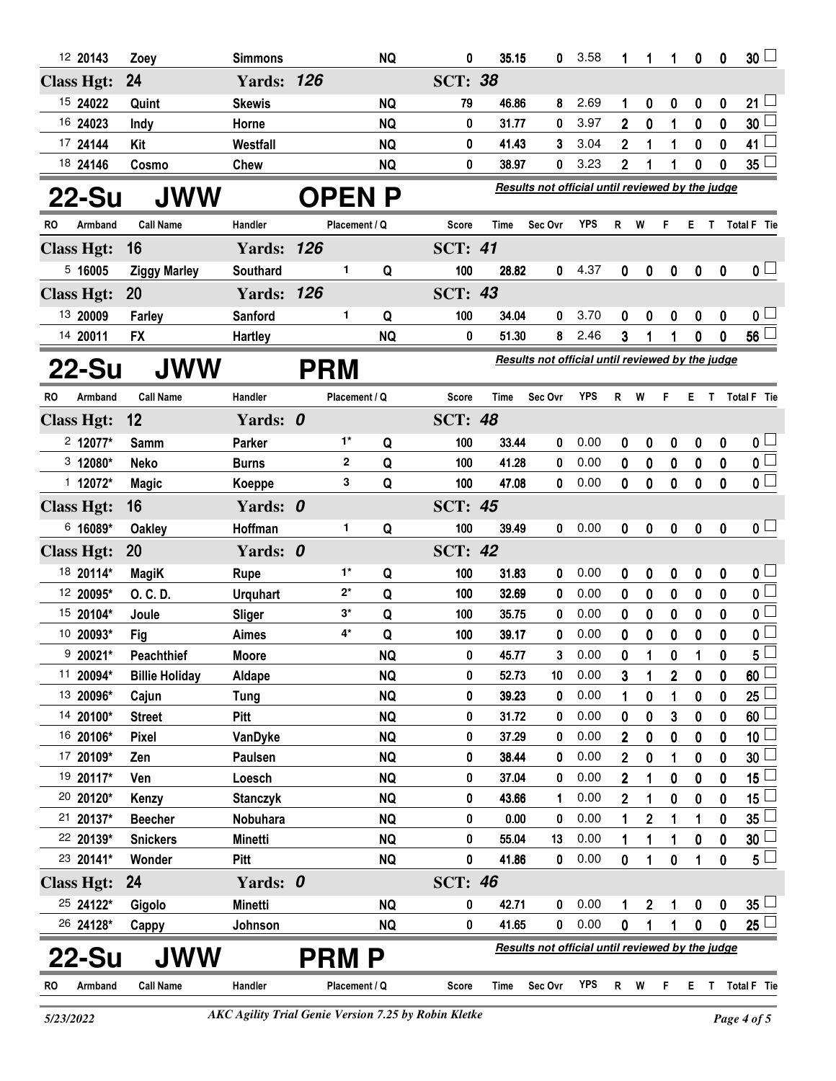| 12 20143          |         | Zoey                  | <b>Simmons</b>    |            |               | <b>NQ</b> | 0              | 35.15 | 0                                                | 3.58       | 1                | 1              | 1           | 0           | 0           | 30 <sub>2</sub>         |
|-------------------|---------|-----------------------|-------------------|------------|---------------|-----------|----------------|-------|--------------------------------------------------|------------|------------------|----------------|-------------|-------------|-------------|-------------------------|
| <b>Class Hgt:</b> |         | 24                    | <b>Yards: 126</b> |            |               |           | <b>SCT: 38</b> |       |                                                  |            |                  |                |             |             |             |                         |
| 15 24022          |         | Quint                 | <b>Skewis</b>     |            |               | <b>NQ</b> | 79             | 46.86 | 8                                                | 2.69       | 1                | 0              | 0           | 0           | 0           | 21                      |
| 16 24023          |         | Indy                  | Horne             |            |               | <b>NQ</b> | 0              | 31.77 | 0                                                | 3.97       | 2                | 0              | 1           | $\mathbf 0$ | 0           | 30                      |
| 17 24144          |         | Kit                   | Westfall          |            |               | <b>NQ</b> | 0              | 41.43 | 3                                                | 3.04       | 2                | 1              | 1           | 0           | 0           | 41                      |
| 18 24146          |         | Cosmo                 | Chew              |            |               | <b>NQ</b> | 0              | 38.97 | 0                                                | 3.23       | 2                | 1              | 1           | 0           | $\bf{0}$    | 35                      |
| 22-Su             |         | <b>JWW</b>            |                   |            |               | OPEN P    |                |       | Results not official until reviewed by the judge |            |                  |                |             |             |             |                         |
| RO.               | Armband | <b>Call Name</b>      | Handler           |            | Placement / Q |           | Score          | Time  | Sec Ovr                                          | YPS        | R                | W              | F           | E.          |             | T Total F Tie           |
| <b>Class Hgt:</b> |         | 16                    | <b>Yards: 126</b> |            |               |           | <b>SCT: 41</b> |       |                                                  |            |                  |                |             |             |             |                         |
| 5,16005           |         | <b>Ziggy Marley</b>   | Southard          |            | 1             | Q         | 100            | 28.82 | 0                                                | 4.37       | 0                | 0              | 0           | 0           | 0           | $\mathbf{0}$ $\Box$     |
| <b>Class Hgt:</b> |         | 20                    | <b>Yards: 126</b> |            |               |           | <b>SCT: 43</b> |       |                                                  |            |                  |                |             |             |             |                         |
| 13 20009          |         | Farley                | Sanford           |            | 1             | Q         | 100            | 34.04 | 0                                                | 3.70       | 0                | 0              | 0           | 0           | 0           | 0 L                     |
| 14 20011          |         | <b>FX</b>             | <b>Hartley</b>    |            |               | <b>NQ</b> | 0              | 51.30 | 8                                                | 2.46       | 3                |                |             | 0           | 0           | 56 <sup>1</sup>         |
| 22-Su             |         | <b>JWW</b>            |                   | <b>PRM</b> |               |           |                |       | Results not official until reviewed by the judge |            |                  |                |             |             |             |                         |
| RO.               | Armband | <b>Call Name</b>      | Handler           |            | Placement / Q |           | <b>Score</b>   | Time  | Sec Ovr                                          | <b>YPS</b> | R                | W              | F           | E.          | T.          | Total F Tie             |
| <b>Class Hgt:</b> |         | 12                    | Yards: 0          |            |               |           | <b>SCT: 48</b> |       |                                                  |            |                  |                |             |             |             |                         |
| $2$ 12077*        |         | Samm                  | Parker            |            | 1*            | Q         | 100            | 33.44 | 0                                                | 0.00       | 0                | 0              | 0           | 0           | 0           | $\mathbf{0}$ $\Box$     |
| $3 12080*$        |         | <b>Neko</b>           | <b>Burns</b>      |            | $\mathbf{2}$  | Q         | 100            | 41.28 | 0                                                | 0.00       | 0                | 0              | 0           | 0           | $\mathbf 0$ | 0                       |
| $1 12072*$        |         | <b>Magic</b>          | Koeppe            |            | 3             | Q         | 100            | 47.08 | 0                                                | 0.00       | 0                | 0              | $\mathbf 0$ | 0           | 0           | $\overline{\mathbf{0}}$ |
| <b>Class Hgt:</b> |         | 16                    | Yards: 0          |            |               |           | <b>SCT: 45</b> |       |                                                  |            |                  |                |             |             |             |                         |
| 6 16089*          |         | <b>Oakley</b>         | Hoffman           |            | 1             | Q         | 100            | 39.49 | 0                                                | 0.00       | $\boldsymbol{0}$ | 0              | 0           | 0           | $\mathbf 0$ | 0 <sub>1</sub>          |
| <b>Class Hgt:</b> |         | 20                    | Yards: 0          |            |               |           | <b>SCT: 42</b> |       |                                                  |            |                  |                |             |             |             |                         |
| 18 20114*         |         | <b>MagiK</b>          | Rupe              |            | $1^*$         | Q         | 100            | 31.83 | 0                                                | 0.00       | 0                | 0              | 0           | 0           | 0           | 0 <sub>1</sub>          |
| 12 20095*         |         | O. C. D.              | <b>Urquhart</b>   |            | $2^*$         | Q         | 100            | 32.69 | 0                                                | 0.00       | 0                | 0              | 0           | 0           | 0           | $\mathbf 0$             |
| 15 20104*         |         | Joule                 | Sliger            |            | $3^*$         | Q         | 100            | 35.75 | 0                                                | 0.00       | 0                | 0              | 0           | 0           | 0           | 0 L                     |
| 10 20093*         |         | Fig                   | Aimes             |            | 4*            | Q         | 100            | 39.17 | 0                                                | 0.00       | 0                | 0              | 0           | 0           | 0           | 0                       |
| $920021*$         |         | <b>Peachthief</b>     | <b>Moore</b>      |            |               | <b>NQ</b> | 0              | 45.77 | 3                                                | 0.00       | 0                | 1              | 0           | 1           | 0           | 5                       |
| 11 20094*         |         | <b>Billie Holiday</b> | Aldape            |            |               | <b>NQ</b> | 0              | 52.73 | 10                                               | 0.00       | 3                | 1              | 2           | 0           | 0           | 60                      |
| 13 20096*         |         | Cajun                 | <b>Tung</b>       |            |               | <b>NQ</b> | 0              | 39.23 | 0                                                | 0.00       | 1                | 0              | 1           | 0           | 0           | 25                      |
| 14 20100*         |         | <b>Street</b>         | <b>Pitt</b>       |            |               | <b>NQ</b> | 0              | 31.72 | 0                                                | 0.00       | 0                | 0              | 3           | 0           | 0           | 60                      |
| 16 20106*         |         | Pixel                 | VanDyke           |            |               | <b>NQ</b> | 0              | 37.29 | 0                                                | 0.00       | 2                | 0              | 0           | 0           | 0           | 10                      |
| 17 20109*         |         | Zen                   | Paulsen           |            |               | <b>NQ</b> | 0              | 38.44 | 0                                                | 0.00       | 2                | 0              | 1           | 0           | 0           | 30                      |
| 19 20117*         |         | Ven                   | Loesch            |            |               | <b>NQ</b> | 0              | 37.04 | 0                                                | 0.00       | 2                |                | 0           | 0           | 0           | 15                      |
| 20 20120*         |         | Kenzy                 | <b>Stanczyk</b>   |            |               | <b>NQ</b> | 0              | 43.66 | 1                                                | 0.00       | 2                |                | 0           | 0           | 0           | 15                      |
| 21 20137*         |         | <b>Beecher</b>        | Nobuhara          |            |               | <b>NQ</b> | 0              | 0.00  | 0                                                | 0.00       | 1                | 2              | 1           | 1           | 0           | 35                      |
| 22 20139*         |         | <b>Snickers</b>       | Minetti           |            |               | <b>NQ</b> | 0              | 55.04 | 13                                               | 0.00       | 1                | 1              | 1           | 0           | 0           | 30                      |
| 23 20141*         |         | Wonder                | <b>Pitt</b>       |            |               | <b>NQ</b> | 0              | 41.86 | 0                                                | 0.00       | 0                | 1              | 0           | 1           | 0           | $5^{\perp}$             |
| <b>Class Hgt:</b> |         | 24                    | Yards: 0          |            |               |           | <b>SCT: 46</b> |       |                                                  |            |                  |                |             |             |             |                         |
| 25 24122*         |         | Gigolo                | Minetti           |            |               | <b>NQ</b> | 0              | 42.71 | 0                                                | 0.00       | 1                | $\overline{2}$ | 1           | 0           | 0           | 35                      |
| 26 24128*         |         | Cappy                 | Johnson           |            |               | <b>NQ</b> | 0              | 41.65 | 0                                                | 0.00       | 0                | 1              | 1           | 0           | 0           | 25                      |
| 22-Su             |         | <b>JWW</b>            |                   |            | PRM P         |           |                |       | Results not official until reviewed by the judge |            |                  |                |             |             |             |                         |
| RO.               | Armband | <b>Call Name</b>      | Handler           |            | Placement / Q |           | Score          | Time  | Sec Ovr                                          | <b>YPS</b> | $\mathsf{R}$     | W              | F           | E.          |             | T Total F Tie           |